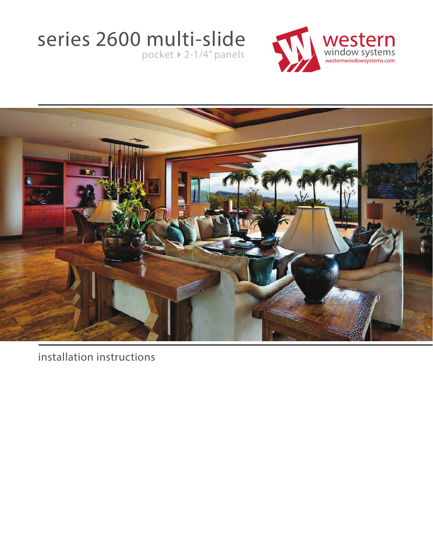# series 2600 multi-slide

 $pocket$   $\rightarrow$  2-1/4" panels





installation instructions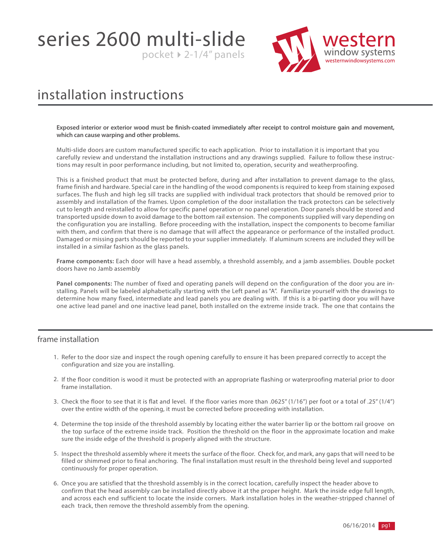series 2600 multi-slide pocket  $\triangleright$  2-1/4" panels



### installation instructions

**Exposed interior or exterior wood must be finish-coated immediately after receipt to control moisture gain and movement, which can cause warping and other problems.** 

Multi-slide doors are custom manufactured specific to each application. Prior to installation it is important that you carefully review and understand the installation instructions and any drawings supplied. Failure to follow these instructions may result in poor performance including, but not limited to, operation, security and weatherproofing.

This is a finished product that must be protected before, during and after installation to prevent damage to the glass, frame finish and hardware. Special care in the handling of the wood components is required to keep from staining exposed surfaces. The flush and high leg sill tracks are supplied with individual track protectors that should be removed prior to assembly and installation of the frames. Upon completion of the door installation the track protectors can be selectively cut to length and reinstalled to allow for specific panel operation or no panel operation. Door panels should be stored and transported upside down to avoid damage to the bottom rail extension. The components supplied will vary depending on the configuration you are installing. Before proceeding with the installation, inspect the components to become familiar with them, and confirm that there is no damage that will affect the appearance or performance of the installed product. Damaged or missing parts should be reported to your supplier immediately. If aluminum screens are included they will be installed in a similar fashion as the glass panels.

**Frame components:** Each door will have a head assembly, a threshold assembly, and a jamb assemblies. Double pocket doors have no Jamb assembly

**Panel components:** The number of fixed and operating panels will depend on the configuration of the door you are installing. Panels will be labeled alphabetically starting with the Left panel as "A". Familiarize yourself with the drawings to determine how many fixed, intermediate and lead panels you are dealing with. If this is a bi-parting door you will have one active lead panel and one inactive lead panel, both installed on the extreme inside track. The one that contains the

#### frame installation

- 1. Refer to the door size and inspect the rough opening carefully to ensure it has been prepared correctly to accept the configuration and size you are installing.
- 2. If the floor condition is wood it must be protected with an appropriate flashing or waterproofing material prior to door frame installation.
- 3. Check the floor to see that it is flat and level. If the floor varies more than .0625" (1/16") per foot or a total of .25" (1/4") over the entire width of the opening, it must be corrected before proceeding with installation.
- 4. Determine the top inside of the threshold assembly by locating either the water barrier lip or the bottom rail groove on the top surface of the extreme inside track. Position the threshold on the floor in the approximate location and make sure the inside edge of the threshold is properly aligned with the structure.
- 5. Inspect the threshold assembly where it meets the surface of the floor. Check for, and mark, any gaps that will need to be filled or shimmed prior to final anchoring. The final installation must result in the threshold being level and supported continuously for proper operation.
- 6. Once you are satisfied that the threshold assembly is in the correct location, carefully inspect the header above to confirm that the head assembly can be installed directly above it at the proper height. Mark the inside edge full length, and across each end sufficient to locate the inside corners. Mark installation holes in the weather-stripped channel of each track, then remove the threshold assembly from the opening.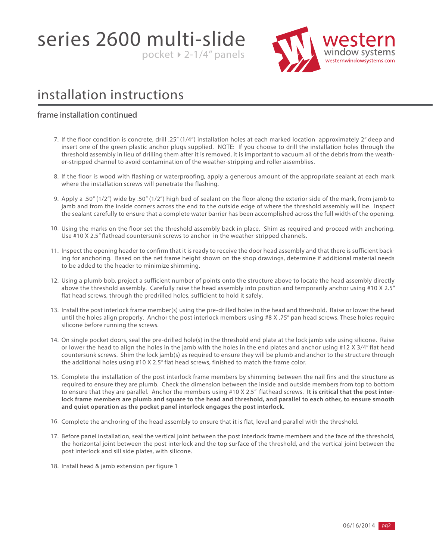series 2600 multi-slide

window s<sup>.</sup> westernwindowsystems.com

### installation instructions

### frame installation continued

7. If the floor condition is concrete, drill .25" (1/4") installation holes at each marked location approximately 2" deep and insert one of the green plastic anchor plugs supplied. NOTE: If you choose to drill the installation holes through the threshold assembly in lieu of drilling them after it is removed, it is important to vacuum all of the debris from the weather-stripped channel to avoid contamination of the weather-stripping and roller assemblies.

pocket  $\triangleright$  2-1/4" panels

- 8. If the floor is wood with flashing or waterproofing, apply a generous amount of the appropriate sealant at each mark where the installation screws will penetrate the flashing.
- 9. Apply a .50" (1/2") wide by .50" (1/2") high bed of sealant on the floor along the exterior side of the mark, from jamb to jamb and from the inside corners across the end to the outside edge of where the threshold assembly will be. Inspect the sealant carefully to ensure that a complete water barrier has been accomplished across the full width of the opening.
- 10. Using the marks on the floor set the threshold assembly back in place. Shim as required and proceed with anchoring. Use #10 X 2.5" flathead countersunk screws to anchor in the weather-stripped channels.
- 11. Inspect the opening header to confirm that it is ready to receive the door head assembly and that there is sufficient backing for anchoring. Based on the net frame height shown on the shop drawings, determine if additional material needs to be added to the header to minimize shimming.
- 12. Using a plumb bob, project a sufficient number of points onto the structure above to locate the head assembly directly above the threshold assembly. Carefully raise the head assembly into position and temporarily anchor using #10 X 2.5" flat head screws, through the predrilled holes, sufficient to hold it safely.
- 13. Install the post interlock frame member(s) using the pre-drilled holes in the head and threshold. Raise or lower the head until the holes align properly. Anchor the post interlock members using #8 X .75" pan head screws. These holes require silicone before running the screws.
- 14. On single pocket doors, seal the pre-drilled hole(s) in the threshold end plate at the lock jamb side using silicone. Raise or lower the head to align the holes in the jamb with the holes in the end plates and anchor using #12 X 3/4" flat head countersunk screws. Shim the lock jamb(s) as required to ensure they will be plumb and anchor to the structure through the additional holes using #10 X 2.5" flat head screws, finished to match the frame color.
- 15. Complete the installation of the post interlock frame members by shimming between the nail fins and the structure as required to ensure they are plumb. Check the dimension between the inside and outside members from top to bottom to ensure that they are parallel. Anchor the members using #10 X 2.5" flathead screws. **It is critical that the post interlock frame members are plumb and square to the head and threshold, and parallel to each other, to ensure smooth and quiet operation as the pocket panel interlock engages the post interlock.**
- 16. Complete the anchoring of the head assembly to ensure that it is flat, level and parallel with the threshold.
- 17. Before panel installation, seal the vertical joint between the post interlock frame members and the face of the threshold, the horizontal joint between the post interlock and the top surface of the threshold, and the vertical joint between the post interlock and sill side plates, with silicone.
- 18. Install head & jamb extension per figure 1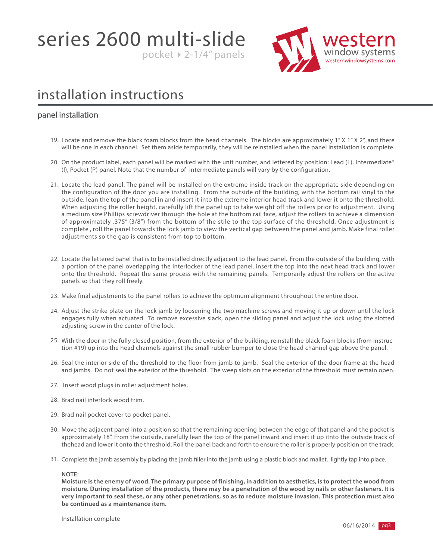series 2600 multi-slide pocket  $\triangleright$  2-1/4" panels



### installation instructions

#### panel installation

- 19. Locate and remove the black foam blocks from the head channels. The blocks are approximately 1" X 1" X 2", and there will be one in each channel. Set them aside temporarily, they will be reinstalled when the panel installation is complete.
- 20. On the product label, each panel will be marked with the unit number, and lettered by position: Lead (L), Intermediate\* (I), Pocket (P) panel. Note that the number of intermediate panels will vary by the configuration.
- 21. Locate the lead panel. The panel will be installed on the extreme inside track on the appropriate side depending on the configuration of the door you are installing. From the outside of the building, with the bottom rail vinyl to the outside, lean the top of the panel in and insert it into the extreme interior head track and lower it onto the threshold. When adjusting the roller height, carefully lift the panel up to take weight off the rollers prior to adjustment. Using a medium size Phillips screwdriver through the hole at the bottom rail face, adjust the rollers to achieve a dimension of approximately .375" (3/8") from the bottom of the stile to the top surface of the threshold. Once adjustment is complete , roll the panel towards the lock jamb to view the vertical gap between the panel and jamb. Make final roller adjustments so the gap is consistent from top to bottom.
- 22. Locate the lettered panel that is to be installed directly adjacent to the lead panel. From the outside of the building, with a portion of the panel overlapping the interlocker of the lead panel, insert the top into the next head track and lower onto the threshold. Repeat the same process with the remaining panels. Temporarily adjust the rollers on the active panels so that they roll freely.
- 23. Make final adjustments to the panel rollers to achieve the optimum alignment throughout the entire door.
- 24. Adjust the strike plate on the lock jamb by loosening the two machine screws and moving it up or down until the lock engages fully when actuated. To remove excessive slack, open the sliding panel and adjust the lock using the slotted adjusting screw in the center of the lock.
- 25. With the door in the fully closed position, from the exterior of the building, reinstall the black foam blocks (from instruction #19) up into the head channels against the small rubber bumper to close the head channel gap above the panel.
- 26. Seal the interior side of the threshold to the floor from jamb to jamb. Seal the exterior of the door frame at the head and jambs. Do not seal the exterior of the threshold. The weep slots on the exterior of the threshold must remain open.
- 27. Insert wood plugs in roller adjustment holes.
- 28. Brad nail interlock wood trim.
- 29. Brad nail pocket cover to pocket panel.
- 30. Move the adjacent panel into a position so that the remaining opening between the edge of that panel and the pocket is approximately 18". From the outside, carefully lean the top of the panel inward and insert it up itnto the outside track of thehead and lower it onto the threshold. Roll the panel back and forth to ensure the roller is properly position on the track.
- 31. Complete the jamb assembly by placing the jamb filler into the jamb using a plastic block and mallet, lightly tap into place.

#### **NOTE:**

**Moisture is the enemy of wood. The primary purpose of finishing, in addition to aesthetics, is to protect the wood from moisture. During installation of the products, there may be a penetration of the wood by nails or other fasteners. It is very important to seal these, or any other penetrations, so as to reduce moisture invasion. This protection must also be continued as a maintenance item.**

Installation complete